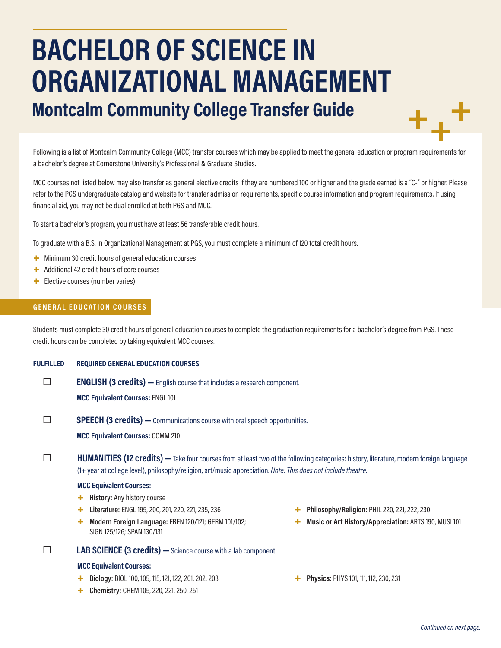# **BACHELOR OF SCIENCE IN ORGANIZATIONAL MANAGEMENT Montcalm Community College Transfer Guide**

Following is a list of Montcalm Community College (MCC) transfer courses which may be applied to meet the general education or program requirements for a bachelor's degree at Cornerstone University's Professional & Graduate Studies.

MCC courses not listed below may also transfer as general elective credits if they are numbered 100 or higher and the grade earned is a "C-" or higher. Please refer to the PGS undergraduate catalog and website for transfer admission requirements, specific course information and program requirements. If using financial aid, you may not be dual enrolled at both PGS and MCC.

To start a bachelor's program, you must have at least 56 transferable credit hours.

To graduate with a B.S. in Organizational Management at PGS, you must complete a minimum of 120 total credit hours.

- + Minimum 30 credit hours of general education courses
- + Additional 42 credit hours of core courses
- + Elective courses (number varies)

#### **GENERAL EDUCATION COURSES**

Students must complete 30 credit hours of general education courses to complete the graduation requirements for a bachelor's degree from PGS. These credit hours can be completed by taking equivalent MCC courses.

**FULFILLED REQUIRED GENERAL EDUCATION COURSES**

**ENGLISH (3 credits)** — English course that includes a research component.

**MCC Equivalent Courses:** ENGL 101

**SPEECH (3 credits)** — Communications course with oral speech opportunities.

**MCC Equivalent Courses:** COMM 210

**HUMANITIES (12 credits)** — Take four courses from at least two of the following categories: history, literature, modern foreign language (1+ year at college level), philosophy/religion, art/music appreciation. *Note: This does not include theatre.*

#### **MCC Equivalent Courses:**

- + **History:** Any history course
- + **Literature:** ENGL 195, 200, 201, 220, 221, 235, 236
- + **Modern Foreign Language:** FREN 120/121; GERM 101/102; SIGN 125/126; SPAN 130/131

# **LAB SCIENCE (3 credits)** - Science course with a lab component.

#### **MCC Equivalent Courses:**

- + **Biology:** BIOL 100, 105, 115, 121, 122, 201, 202, 203
- + **Chemistry:** CHEM 105, 220, 221, 250, 251
- + **Philosophy/Religion:** PHIL 220, 221, 222, 230
- + **Music or Art History/Appreciation:** ARTS 190, MUSI 101
- + **Physics:** PHYS 101, 111, 112, 230, 231